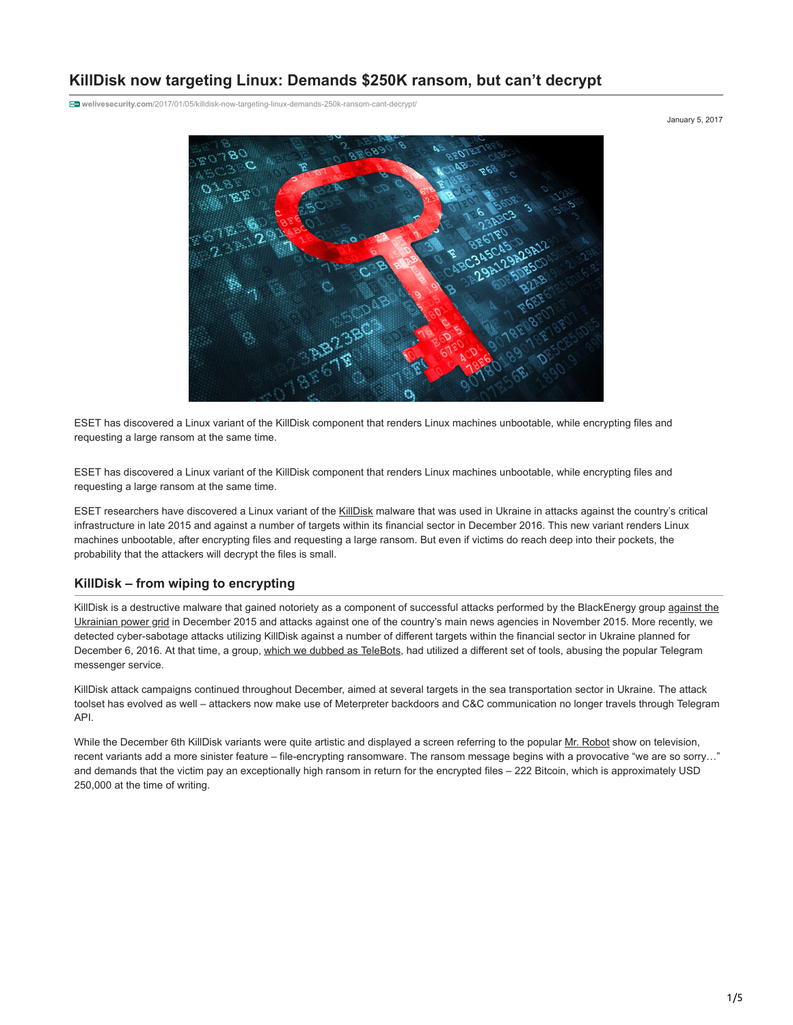# **KillDisk now targeting Linux: Demands \$250K ransom, but can't decrypt**

**welivesecurity.com**[/2017/01/05/killdisk-now-targeting-linux-demands-250k-ransom-cant-decrypt/](https://www.welivesecurity.com/2017/01/05/killdisk-now-targeting-linux-demands-250k-ransom-cant-decrypt/)

ESET has discovered a Linux variant of the KillDisk component that renders Linux machines unbootable, while encrypting files and requesting a large ransom at the same time.

ESET has discovered a Linux variant of the KillDisk component that renders Linux machines unbootable, while encrypting files and requesting a large ransom at the same time.

ESET researchers have discovered a Linux variant of the [KillDisk](http://www.welivesecurity.com/?s=KillDisk) malware that was used in Ukraine in attacks against the country's critical infrastructure in late 2015 and against a number of targets within its financial sector in December 2016. This new variant renders Linux machines unbootable, after encrypting files and requesting a large ransom. But even if victims do reach deep into their pockets, the probability that the attackers will decrypt the files is small.

### **KillDisk – from wiping to encrypting**

[KillDisk is a destructive malware that gained notoriety as a component of successful attacks performed by the BlackEnergy group against the](http://www.welivesecurity.com/2016/01/04/blackenergy-trojan-strikes-again-attacks-ukrainian-electric-power-industry/) Ukrainian power grid in December 2015 and attacks against one of the country's main news agencies in November 2015. More recently, we detected cyber-sabotage attacks utilizing KillDisk against a number of different targets within the financial sector in Ukraine planned for December 6, 2016. At that time, a group, [which we dubbed as TeleBots](http://www.welivesecurity.com/2016/12/13/rise-telebots-analyzing-disruptive-killdisk-attacks/), had utilized a different set of tools, abusing the popular Telegram messenger service.

KillDisk attack campaigns continued throughout December, aimed at several targets in the sea transportation sector in Ukraine. The attack toolset has evolved as well – attackers now make use of Meterpreter backdoors and C&C communication no longer travels through Telegram API.

While the December 6th KillDisk variants were quite artistic and displayed a screen referring to the popular [Mr. Robot](http://www.imdb.com/title/tt4158110/) show on television, recent variants add a more sinister feature – file-encrypting ransomware. The ransom message begins with a provocative "we are so sorry…" and demands that the victim pay an exceptionally high ransom in return for the encrypted files – 222 Bitcoin, which is approximately USD 250,000 at the time of writing.

January 5, 2017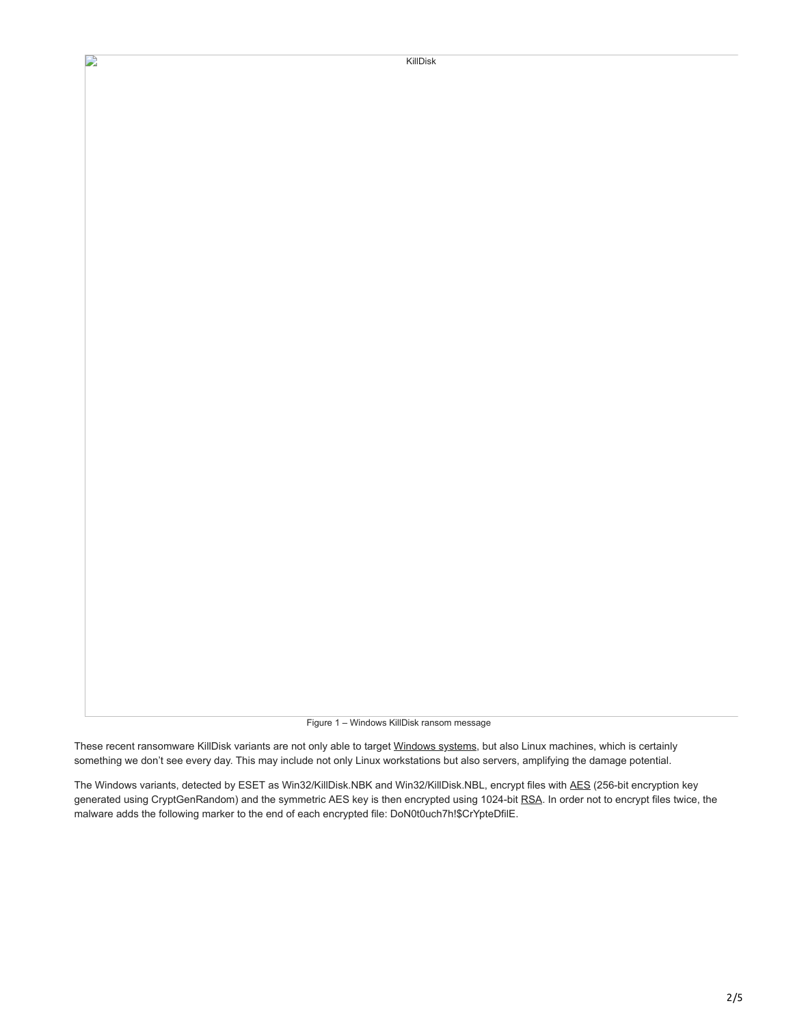$\mathbf{D}$ 

Figure 1 – Windows KillDisk ransom message

These recent ransomware KillDisk variants are not only able to target [Windows systems](https://cyberx-labs.com/en/blog/new-killdisk-malware-brings-ransomware-into-industrial-domain/), but also Linux machines, which is certainly something we don't see every day. This may include not only Linux workstations but also servers, amplifying the damage potential.

The Windows variants, detected by ESET as Win32/KillDisk.NBK and Win32/KillDisk.NBL, encrypt files with [AES](https://en.wikipedia.org/wiki/Advanced_Encryption_Standard) (256-bit encryption key generated using CryptGenRandom) and the symmetric AES key is then encrypted using 1024-bit [RSA.](https://en.wikipedia.org/wiki/RSA_(cryptosystem)) In order not to encrypt files twice, the malware adds the following marker to the end of each encrypted file: DoN0t0uch7h!\$CrYpteDfilE.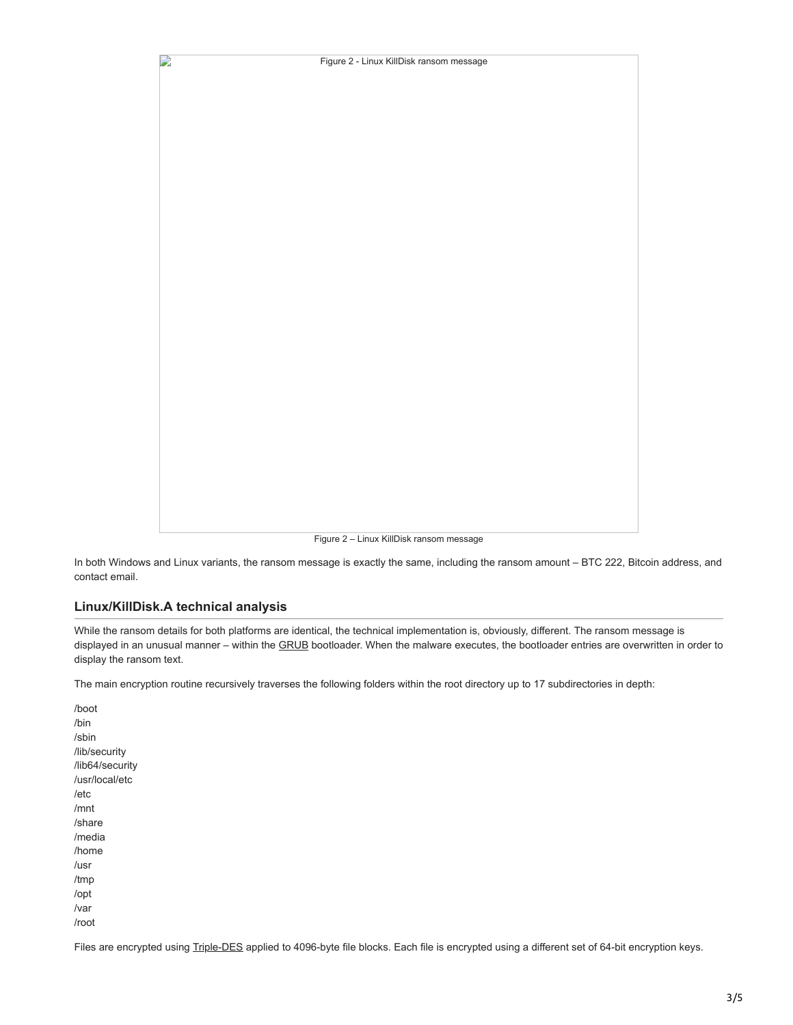

Figure 2 – Linux KillDisk ransom message

In both Windows and Linux variants, the ransom message is exactly the same, including the ransom amount – BTC 222, Bitcoin address, and contact email.

### **Linux/KillDisk.A technical analysis**

While the ransom details for both platforms are identical, the technical implementation is, obviously, different. The ransom message is displayed in an unusual manner – within the [GRUB](https://en.wikipedia.org/wiki/GNU_GRUB) bootloader. When the malware executes, the bootloader entries are overwritten in order to display the ransom text.

The main encryption routine recursively traverses the following folders within the root directory up to 17 subdirectories in depth:

/boot /bin /sbin /lib/security /lib64/security /usr/local/etc /etc /mnt /share /media /home /usr /tmp /opt /var /root

Files are encrypted using [Triple-DES](https://en.wikipedia.org/wiki/Triple_DES) applied to 4096-byte file blocks. Each file is encrypted using a different set of 64-bit encryption keys.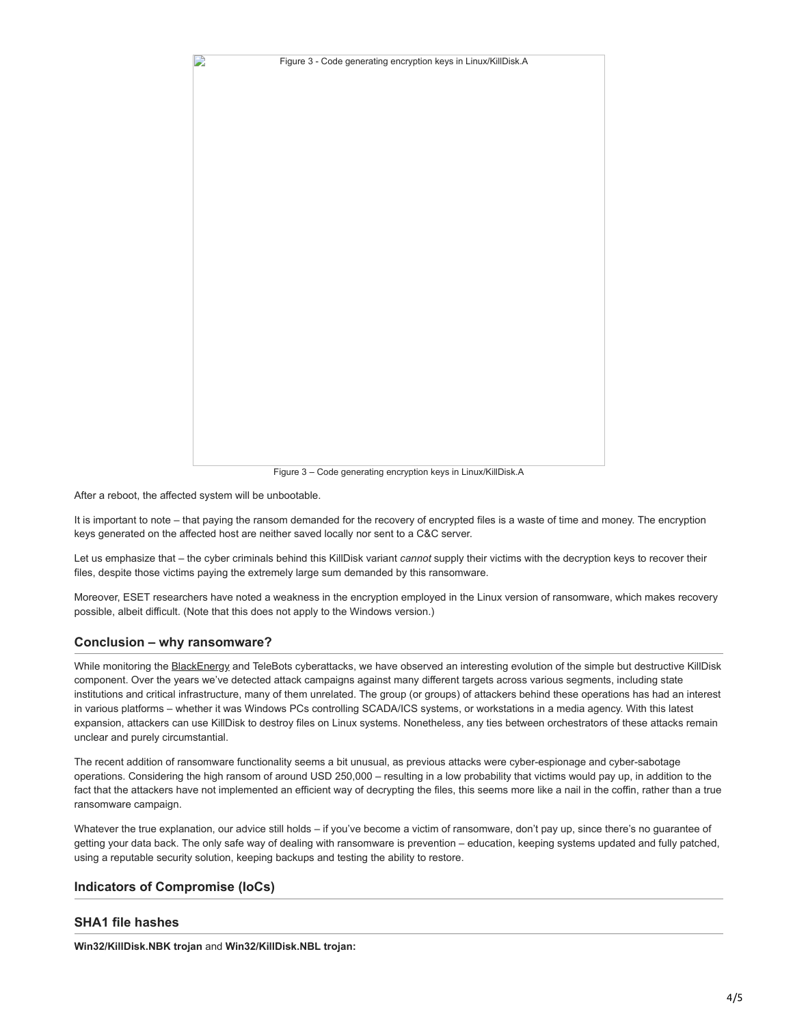

Figure 3 – Code generating encryption keys in Linux/KillDisk.A

After a reboot, the affected system will be unbootable.

It is important to note – that paying the ransom demanded for the recovery of encrypted files is a waste of time and money. The encryption keys generated on the affected host are neither saved locally nor sent to a C&C server.

Let us emphasize that – the cyber criminals behind this KillDisk variant *cannot* supply their victims with the decryption keys to recover their files, despite those victims paying the extremely large sum demanded by this ransomware.

Moreover, ESET researchers have noted a weakness in the encryption employed in the Linux version of ransomware, which makes recovery possible, albeit difficult. (Note that this does not apply to the Windows version.)

### **Conclusion – why ransomware?**

While monitoring the [BlackEnergy](http://www.welivesecurity.com/?s=BlackEnergy) and TeleBots cyberattacks, we have observed an interesting evolution of the simple but destructive KillDisk component. Over the years we've detected attack campaigns against many different targets across various segments, including state institutions and critical infrastructure, many of them unrelated. The group (or groups) of attackers behind these operations has had an interest in various platforms – whether it was Windows PCs controlling SCADA/ICS systems, or workstations in a media agency. With this latest expansion, attackers can use KillDisk to destroy files on Linux systems. Nonetheless, any ties between orchestrators of these attacks remain unclear and purely circumstantial.

The recent addition of ransomware functionality seems a bit unusual, as previous attacks were cyber-espionage and cyber-sabotage operations. Considering the high ransom of around USD 250,000 – resulting in a low probability that victims would pay up, in addition to the fact that the attackers have not implemented an efficient way of decrypting the files, this seems more like a nail in the coffin, rather than a true ransomware campaign.

Whatever the true explanation, our advice still holds – if you've become a victim of ransomware, don't pay up, since there's no guarantee of getting your data back. The only safe way of dealing with ransomware is prevention – education, keeping systems updated and fully patched, using a reputable security solution, keeping backups and testing the ability to restore.

## **Indicators of Compromise (IoCs)**

## **SHA1 file hashes**

**Win32/KillDisk.NBK trojan** and **Win32/KillDisk.NBL trojan:**